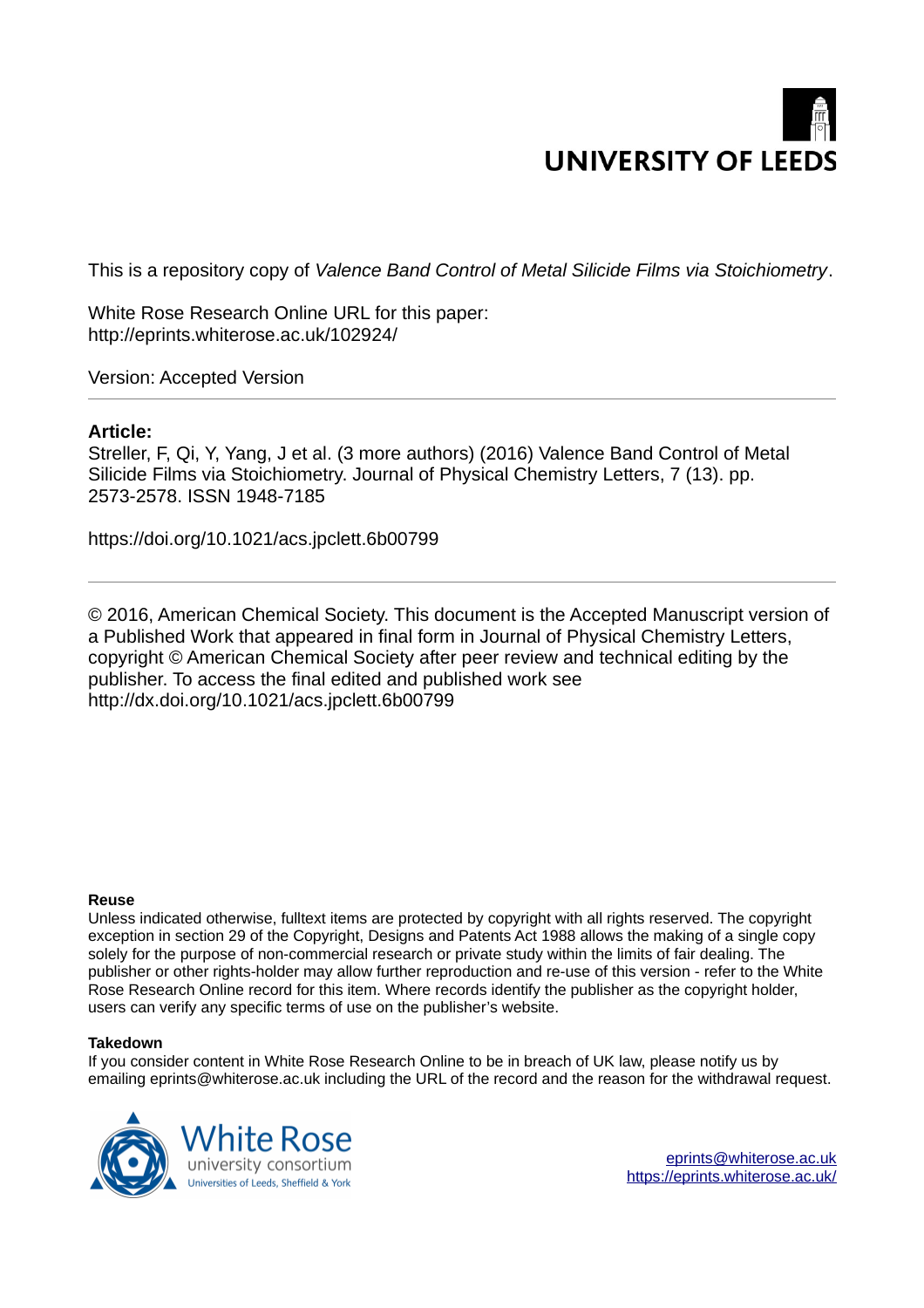# **UNIVERSITY OF LEEDS**

This is a repository copy of *Valence Band Control of Metal Silicide Films via Stoichiometry*.

White Rose Research Online URL for this paper: http://eprints.whiterose.ac.uk/102924/

Version: Accepted Version

# **Article:**

Streller, F, Qi, Y, Yang, J et al. (3 more authors) (2016) Valence Band Control of Metal Silicide Films via Stoichiometry. Journal of Physical Chemistry Letters, 7 (13). pp. 2573-2578. ISSN 1948-7185

https://doi.org/10.1021/acs.jpclett.6b00799

© 2016, American Chemical Society. This document is the Accepted Manuscript version of a Published Work that appeared in final form in Journal of Physical Chemistry Letters, copyright © American Chemical Society after peer review and technical editing by the publisher. To access the final edited and published work see http://dx.doi.org/10.1021/acs.jpclett.6b00799

#### **Reuse**

Unless indicated otherwise, fulltext items are protected by copyright with all rights reserved. The copyright exception in section 29 of the Copyright, Designs and Patents Act 1988 allows the making of a single copy solely for the purpose of non-commercial research or private study within the limits of fair dealing. The publisher or other rights-holder may allow further reproduction and re-use of this version - refer to the White Rose Research Online record for this item. Where records identify the publisher as the copyright holder, users can verify any specific terms of use on the publisher's website.

### **Takedown**

If you consider content in White Rose Research Online to be in breach of UK law, please notify us by emailing eprints@whiterose.ac.uk including the URL of the record and the reason for the withdrawal request.

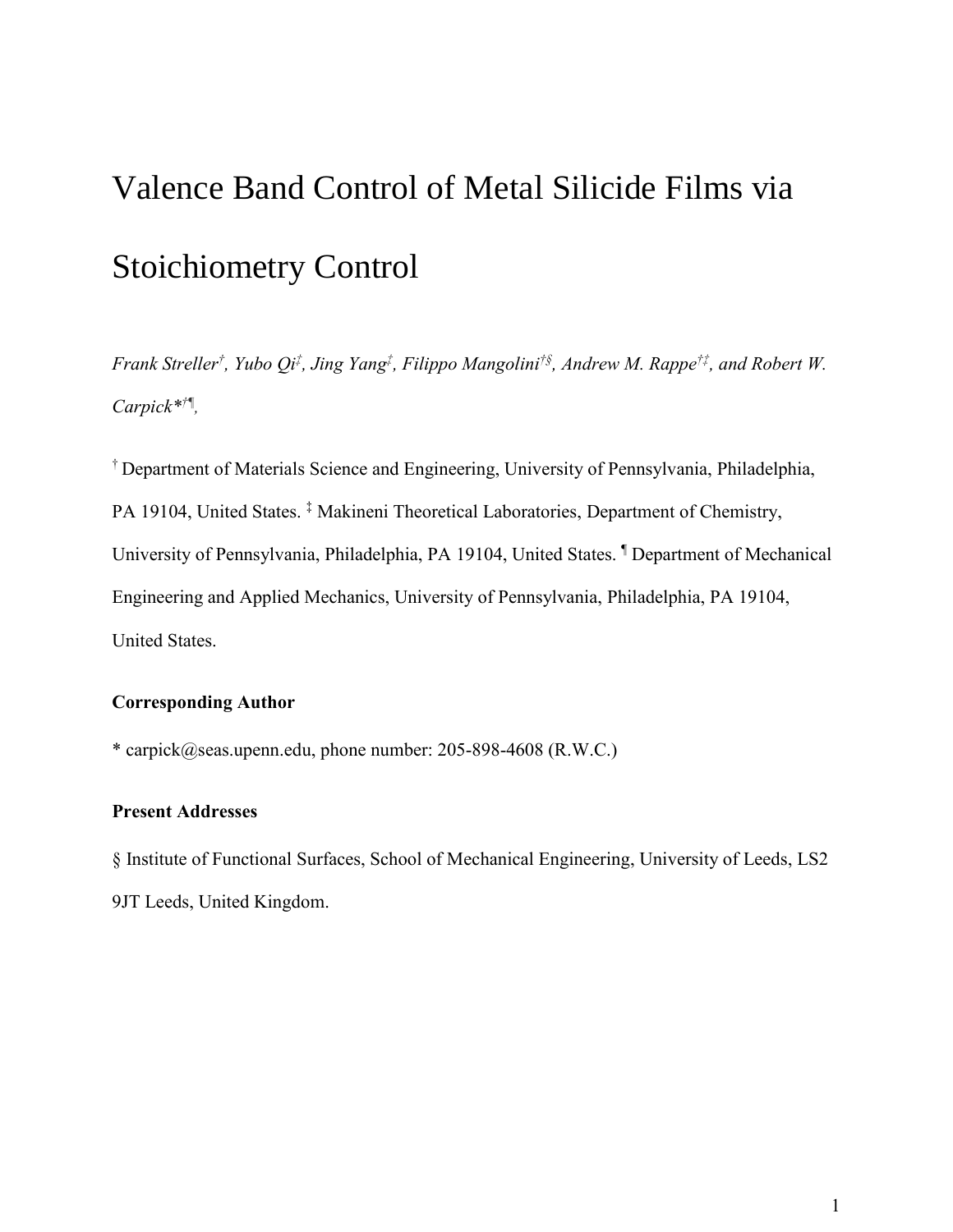# Valence Band Control of Metal Silicide Films via Stoichiometry Control

*Frank Streller† , Yubo Qi‡ , Jing Yang‡ , Filippo Mangolini†<sup>ß</sup> , Andrew M. Rappe†‡, and Robert W. Carpick\*†¶ ,*

† Department of Materials Science and Engineering, University of Pennsylvania, Philadelphia, PA 19104, United States.<sup>‡</sup> Makineni Theoretical Laboratories, Department of Chemistry, University of Pennsylvania, Philadelphia, PA 19104, United States. ¶ Department of Mechanical Engineering and Applied Mechanics, University of Pennsylvania, Philadelphia, PA 19104, United States.

# **Corresponding Author**

\* carpick@seas.upenn.edu, phone number: 205-898-4608 (R.W.C.)

# **Present Addresses**

§ Institute of Functional Surfaces, School of Mechanical Engineering, University of Leeds, LS2 9JT Leeds, United Kingdom.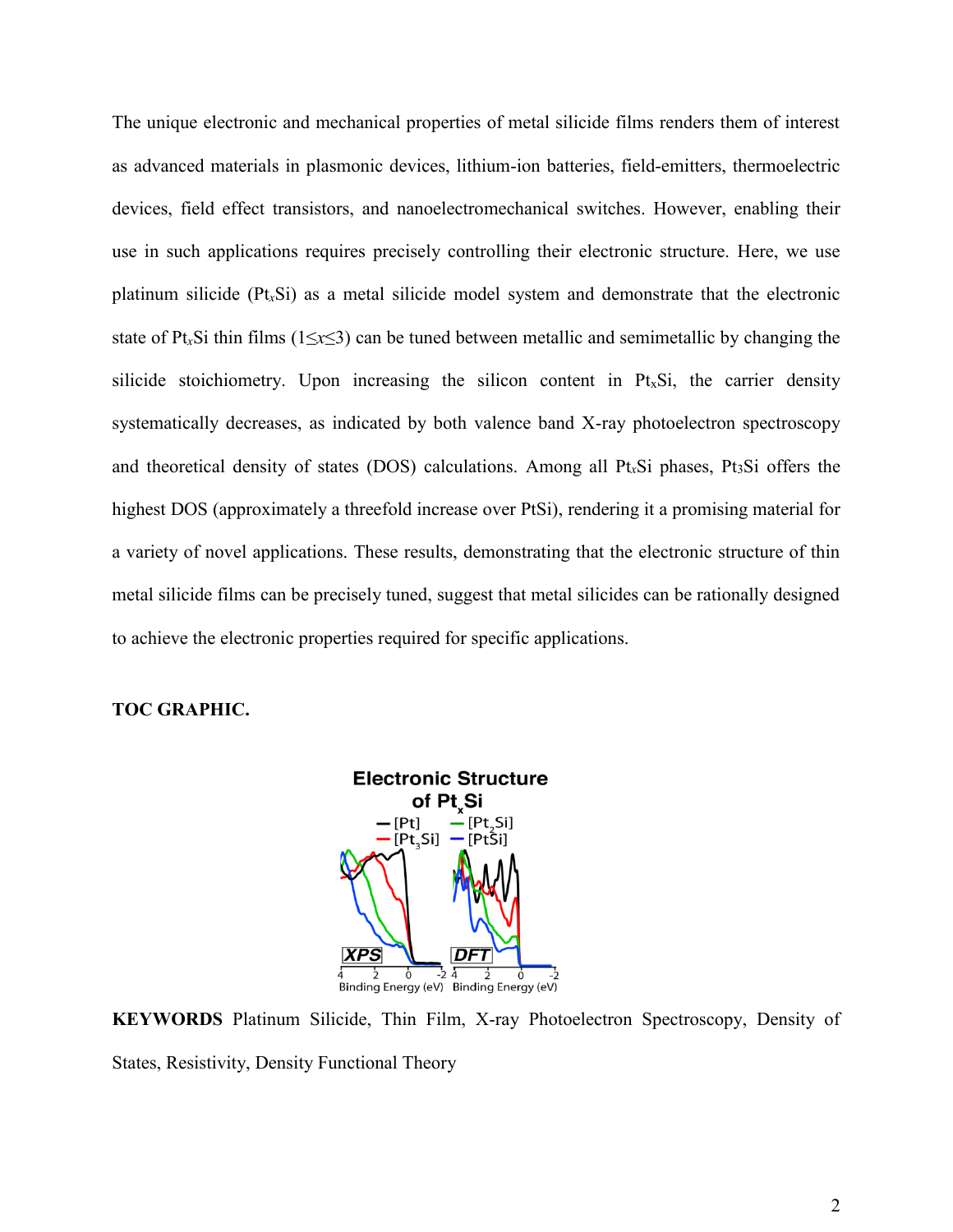The unique electronic and mechanical properties of metal silicide films renders them of interest as advanced materials in plasmonic devices, lithium-ion batteries, field-emitters, thermoelectric devices, field effect transistors, and nanoelectromechanical switches. However, enabling their use in such applications requires precisely controlling their electronic structure. Here, we use platinum silicide (Pt*x*Si) as a metal silicide model system and demonstrate that the electronic state of Pt*x*Si thin films (1≤*x*≤3) can be tuned between metallic and semimetallic by changing the silicide stoichiometry. Upon increasing the silicon content in  $Pt<sub>x</sub>Si$ , the carrier density systematically decreases, as indicated by both valence band X-ray photoelectron spectroscopy and theoretical density of states (DOS) calculations. Among all Pt*x*Si phases, Pt3Si offers the highest DOS (approximately a threefold increase over PtSi), rendering it a promising material for a variety of novel applications. These results, demonstrating that the electronic structure of thin metal silicide films can be precisely tuned, suggest that metal silicides can be rationally designed to achieve the electronic properties required for specific applications.

#### **TOC GRAPHIC.**



**KEYWORDS** Platinum Silicide, Thin Film, X-ray Photoelectron Spectroscopy, Density of States, Resistivity, Density Functional Theory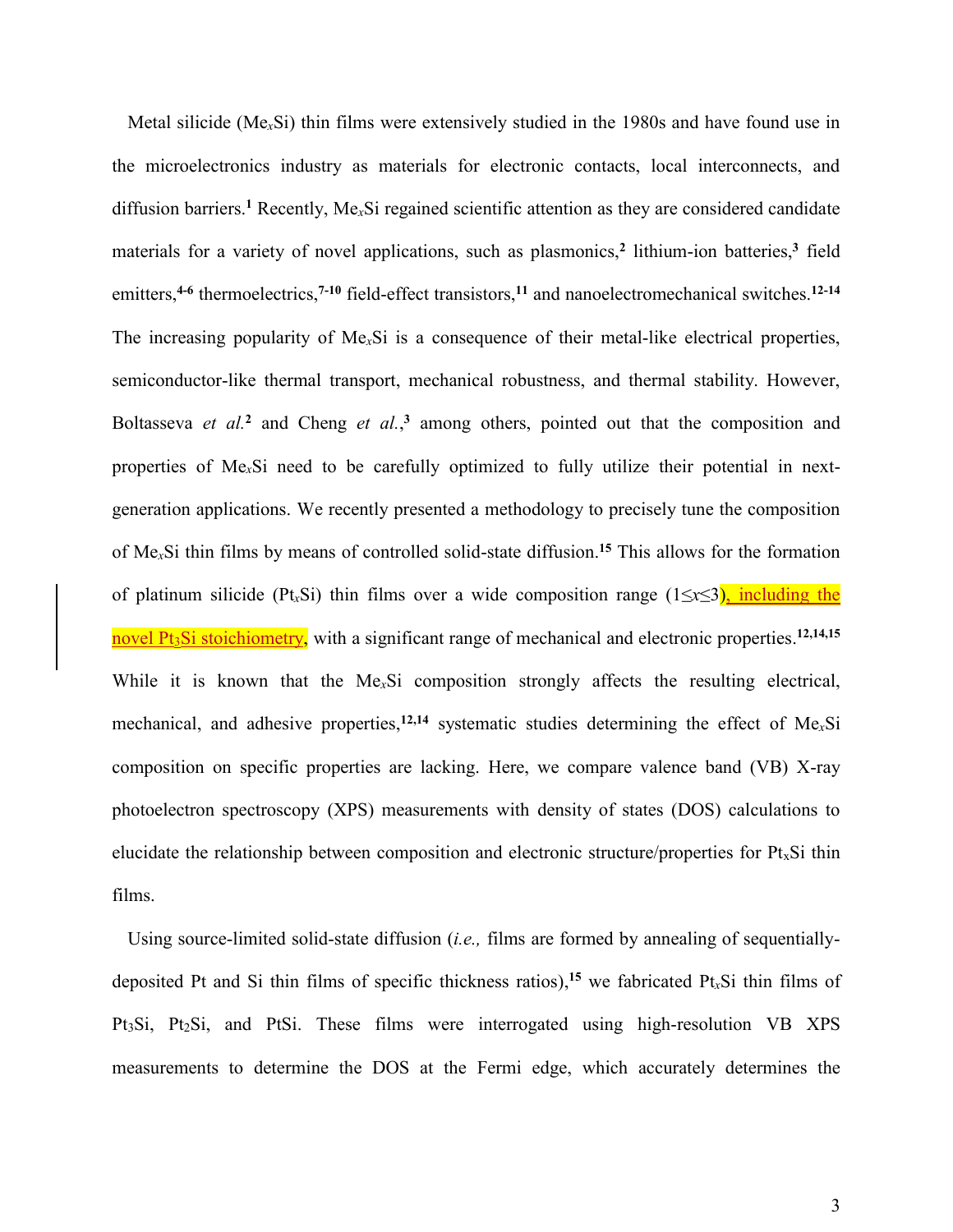Metal silicide (Me*x*Si) thin films were extensively studied in the 1980s and have found use in the microelectronics industry as materials for electronic contacts, local interconnects, and diffusion barriers.**<sup>1</sup>** Recently, Me*x*Si regained scientific attention as they are considered candidate materials for a variety of novel applications, such as plasmonics,**<sup>2</sup>** lithium-ion batteries,**<sup>3</sup>** field emitters,**4-6** thermoelectrics,**7-10** field-effect transistors,**<sup>11</sup>** and nanoelectromechanical switches.**12-14** The increasing popularity of Me*x*Si is a consequence of their metal-like electrical properties, semiconductor-like thermal transport, mechanical robustness, and thermal stability. However, Boltasseva *et al.*<sup>2</sup> and Cheng *et al.*,<sup>3</sup> among others, pointed out that the composition and properties of Me*x*Si need to be carefully optimized to fully utilize their potential in nextgeneration applications. We recently presented a methodology to precisely tune the composition of Me*x*Si thin films by means of controlled solid-state diffusion.**<sup>15</sup>** This allows for the formation of platinum silicide (Pt*x*Si) thin films over a wide composition range (1≤*x*≤3), including the novel Pt<sub>3</sub>Si stoichiometry, with a significant range of mechanical and electronic properties.<sup>12,14,15</sup> While it is known that the Me*x*Si composition strongly affects the resulting electrical, mechanical, and adhesive properties,**12,14** systematic studies determining the effect of Me*x*Si composition on specific properties are lacking. Here, we compare valence band (VB) X-ray photoelectron spectroscopy (XPS) measurements with density of states (DOS) calculations to elucidate the relationship between composition and electronic structure/properties for  $Pt<sub>x</sub>Si$  thin films.

Using source-limited solid-state diffusion (*i.e.,* films are formed by annealing of sequentiallydeposited Pt and Si thin films of specific thickness ratios),**<sup>15</sup>** we fabricated Pt*x*Si thin films of Pt3Si, Pt2Si, and PtSi. These films were interrogated using high-resolution VB XPS measurements to determine the DOS at the Fermi edge, which accurately determines the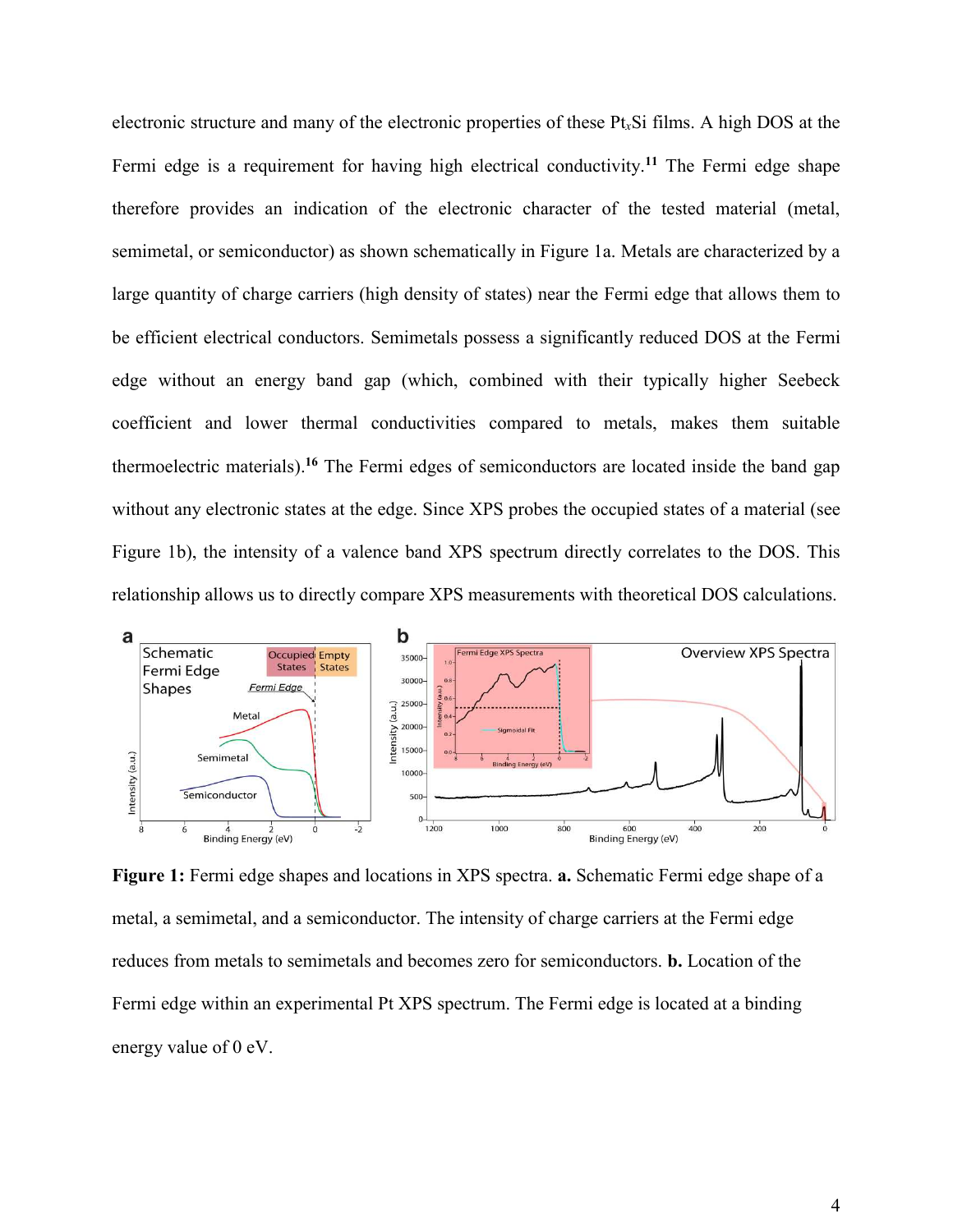electronic structure and many of the electronic properties of these Pt*x*Si films. A high DOS at the Fermi edge is a requirement for having high electrical conductivity.**<sup>11</sup>** The Fermi edge shape therefore provides an indication of the electronic character of the tested material (metal, semimetal, or semiconductor) as shown schematically in Figure 1a. Metals are characterized by a large quantity of charge carriers (high density of states) near the Fermi edge that allows them to be efficient electrical conductors. Semimetals possess a significantly reduced DOS at the Fermi edge without an energy band gap (which, combined with their typically higher Seebeck coefficient and lower thermal conductivities compared to metals, makes them suitable thermoelectric materials).**<sup>16</sup>** The Fermi edges of semiconductors are located inside the band gap without any electronic states at the edge. Since XPS probes the occupied states of a material (see Figure 1b), the intensity of a valence band XPS spectrum directly correlates to the DOS. This relationship allows us to directly compare XPS measurements with theoretical DOS calculations.



**Figure 1:** Fermi edge shapes and locations in XPS spectra. **a.** Schematic Fermi edge shape of a metal, a semimetal, and a semiconductor. The intensity of charge carriers at the Fermi edge reduces from metals to semimetals and becomes zero for semiconductors. **b.** Location of the Fermi edge within an experimental Pt XPS spectrum. The Fermi edge is located at a binding energy value of 0 eV.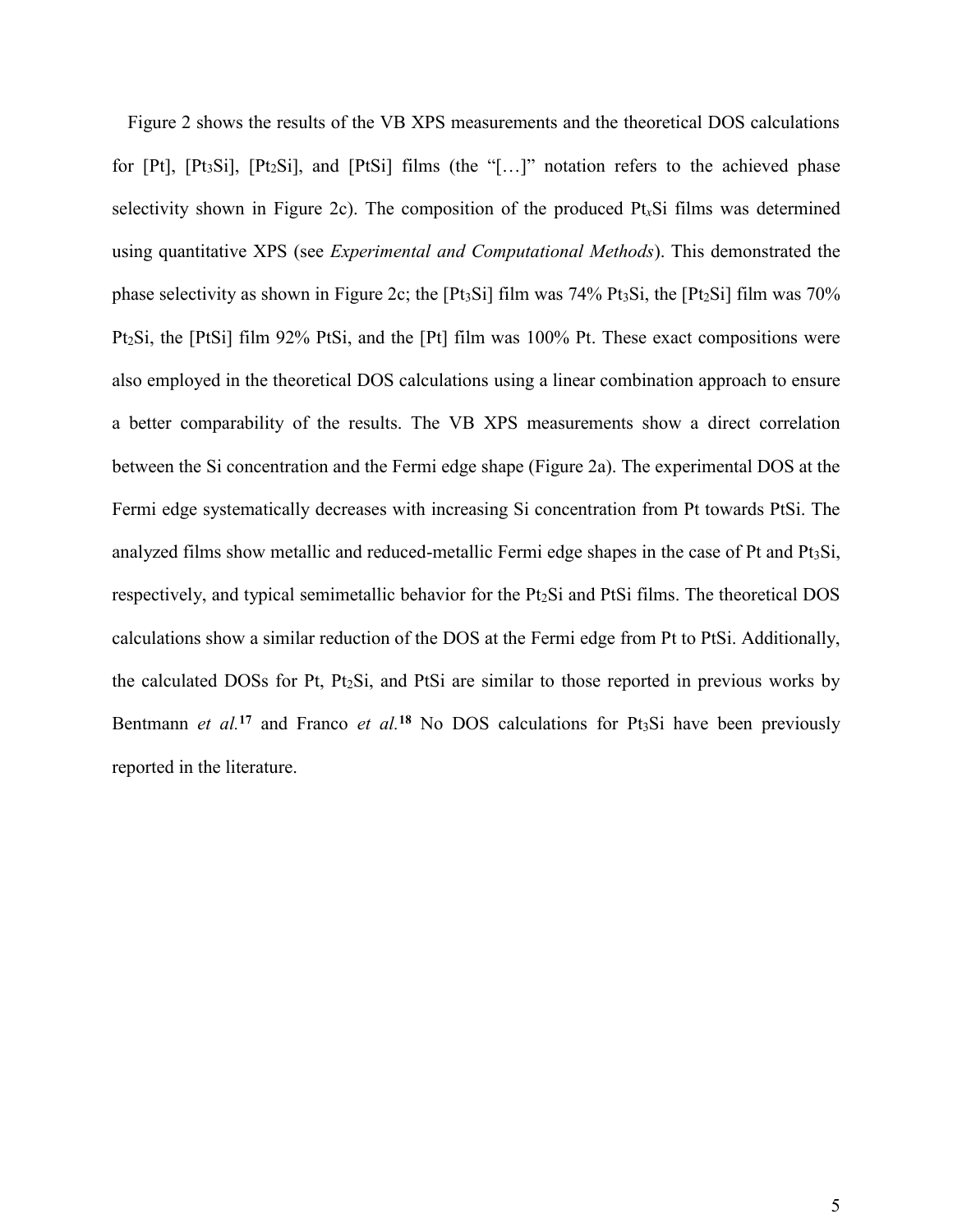Figure 2 shows the results of the VB XPS measurements and the theoretical DOS calculations for  $[Pt]$ ,  $[Pt_3Si]$ ,  $[Pt_2Si]$ , and  $[PtSi]$  films (the "[...]" notation refers to the achieved phase selectivity shown in Figure 2c). The composition of the produced Pt*x*Si films was determined using quantitative XPS (see *Experimental and Computational Methods*). This demonstrated the phase selectivity as shown in Figure 2c; the  $[Pt_3Si]$  film was 74% Pt $_3Si$ , the  $[Pt_2Si]$  film was 70% Pt2Si, the [PtSi] film 92% PtSi, and the [Pt] film was 100% Pt. These exact compositions were also employed in the theoretical DOS calculations using a linear combination approach to ensure a better comparability of the results. The VB XPS measurements show a direct correlation between the Si concentration and the Fermi edge shape (Figure 2a). The experimental DOS at the Fermi edge systematically decreases with increasing Si concentration from Pt towards PtSi. The analyzed films show metallic and reduced-metallic Fermi edge shapes in the case of Pt and Pt3Si, respectively, and typical semimetallic behavior for the Pt2Si and PtSi films. The theoretical DOS calculations show a similar reduction of the DOS at the Fermi edge from Pt to PtSi. Additionally, the calculated DOSs for Pt, Pt2Si, and PtSi are similar to those reported in previous works by Bentmann *et al.*<sup>17</sup> and Franco *et al.*<sup>18</sup> No DOS calculations for Pt<sub>3</sub>Si have been previously reported in the literature.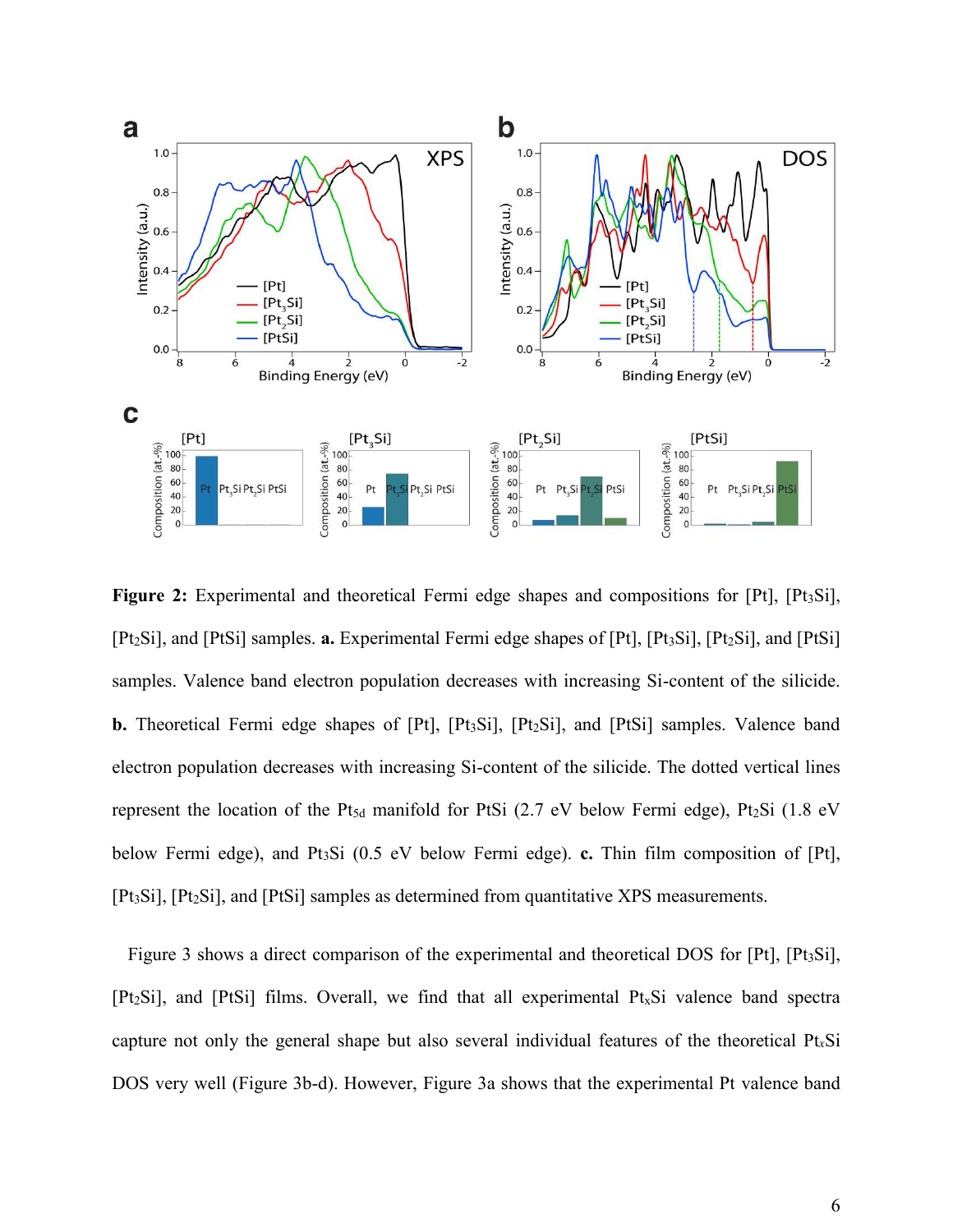

**Figure 2:** Experimental and theoretical Fermi edge shapes and compositions for [Pt], [Pt<sub>3</sub>Si], [Pt<sub>2</sub>Si], and [PtSi] samples. **a.** Experimental Fermi edge shapes of [Pt], [Pt<sub>3</sub>Si], [Pt<sub>2</sub>Si], and [PtSi] samples. Valence band electron population decreases with increasing Si-content of the silicide. **b.** Theoretical Fermi edge shapes of [Pt], [Pt<sub>3</sub>Si], [Pt<sub>2</sub>Si], and [PtSi] samples. Valence band electron population decreases with increasing Si-content of the silicide. The dotted vertical lines represent the location of the Pt<sub>5d</sub> manifold for PtSi (2.7 eV below Fermi edge), Pt<sub>2</sub>Si (1.8 eV below Fermi edge), and Pt3Si (0.5 eV below Fermi edge). **c.** Thin film composition of [Pt], [Pt<sub>3</sub>Si], [Pt<sub>2</sub>Si], and [PtSi] samples as determined from quantitative XPS measurements.

Figure 3 shows a direct comparison of the experimental and theoretical DOS for [Pt], [Pt<sub>3</sub>Si],  $[Pt_2Si]$ , and  $[PtSi]$  films. Overall, we find that all experimental  $Pt_xSi$  valence band spectra capture not only the general shape but also several individual features of the theoretical Pt*x*Si DOS very well (Figure 3b-d). However, Figure 3a shows that the experimental Pt valence band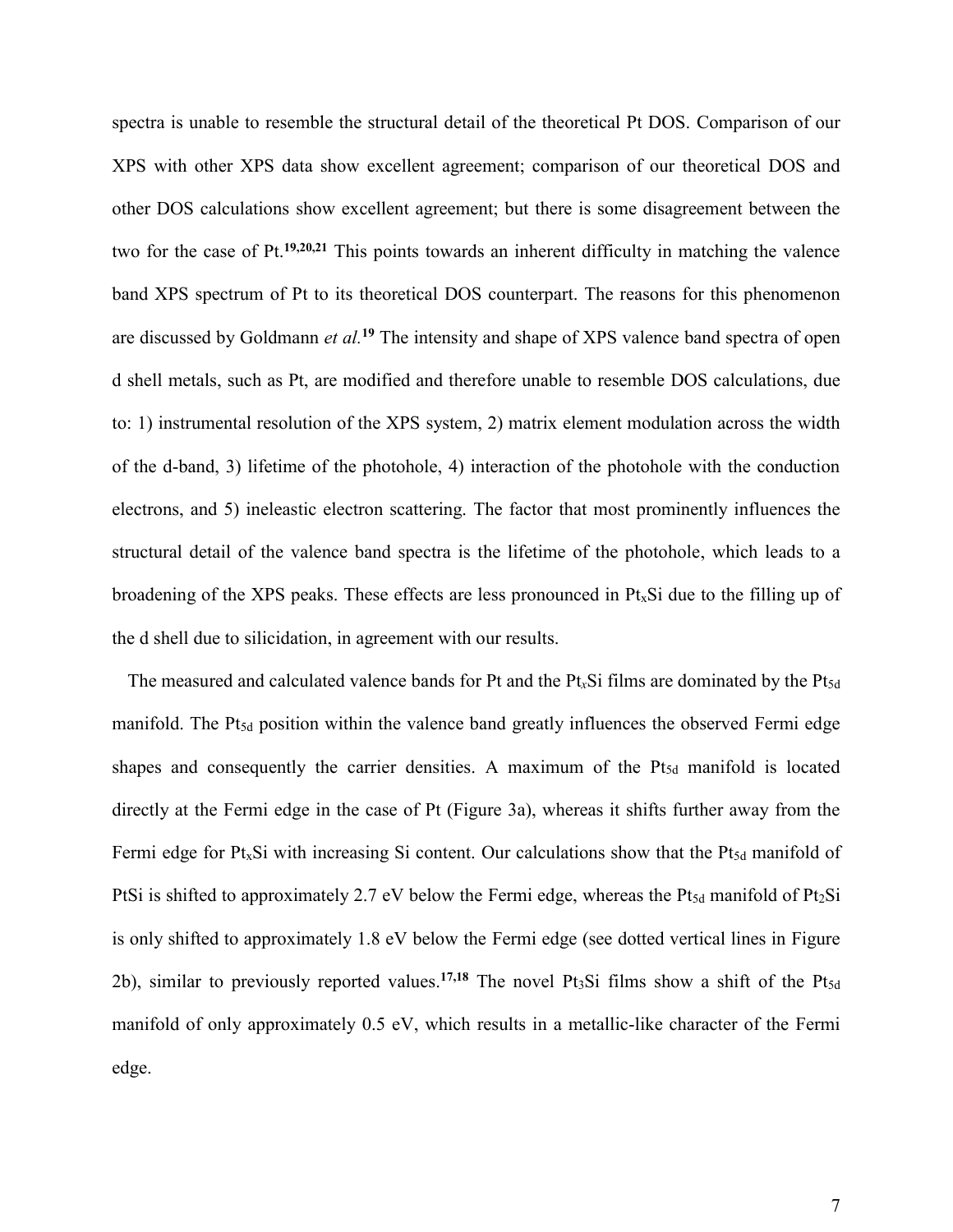spectra is unable to resemble the structural detail of the theoretical Pt DOS. Comparison of our XPS with other XPS data show excellent agreement; comparison of our theoretical DOS and other DOS calculations show excellent agreement; but there is some disagreement between the two for the case of Pt.**19,20,21** This points towards an inherent difficulty in matching the valence band XPS spectrum of Pt to its theoretical DOS counterpart. The reasons for this phenomenon are discussed by Goldmann *et al.***<sup>19</sup>** The intensity and shape of XPS valence band spectra of open d shell metals, such as Pt, are modified and therefore unable to resemble DOS calculations, due to: 1) instrumental resolution of the XPS system, 2) matrix element modulation across the width of the d-band, 3) lifetime of the photohole, 4) interaction of the photohole with the conduction electrons, and 5) ineleastic electron scattering. The factor that most prominently influences the structural detail of the valence band spectra is the lifetime of the photohole, which leads to a broadening of the XPS peaks. These effects are less pronounced in  $Pt<sub>x</sub>Si$  due to the filling up of the d shell due to silicidation, in agreement with our results.

The measured and calculated valence bands for Pt and the Pt<sub>x</sub>Si films are dominated by the Pt<sub>5d</sub> manifold. The  $Pt_{5d}$  position within the valence band greatly influences the observed Fermi edge shapes and consequently the carrier densities. A maximum of the Pt<sub>5d</sub> manifold is located directly at the Fermi edge in the case of Pt (Figure 3a), whereas it shifts further away from the Fermi edge for  $Pt_xSi$  with increasing Si content. Our calculations show that the  $Pt_{5d}$  manifold of PtSi is shifted to approximately 2.7 eV below the Fermi edge, whereas the Pt $_{5d}$  manifold of Pt $_2$ Si is only shifted to approximately 1.8 eV below the Fermi edge (see dotted vertical lines in Figure 2b), similar to previously reported values.<sup>17,18</sup> The novel Pt<sub>3</sub>Si films show a shift of the Pt<sub>5d</sub> manifold of only approximately 0.5 eV, which results in a metallic-like character of the Fermi edge.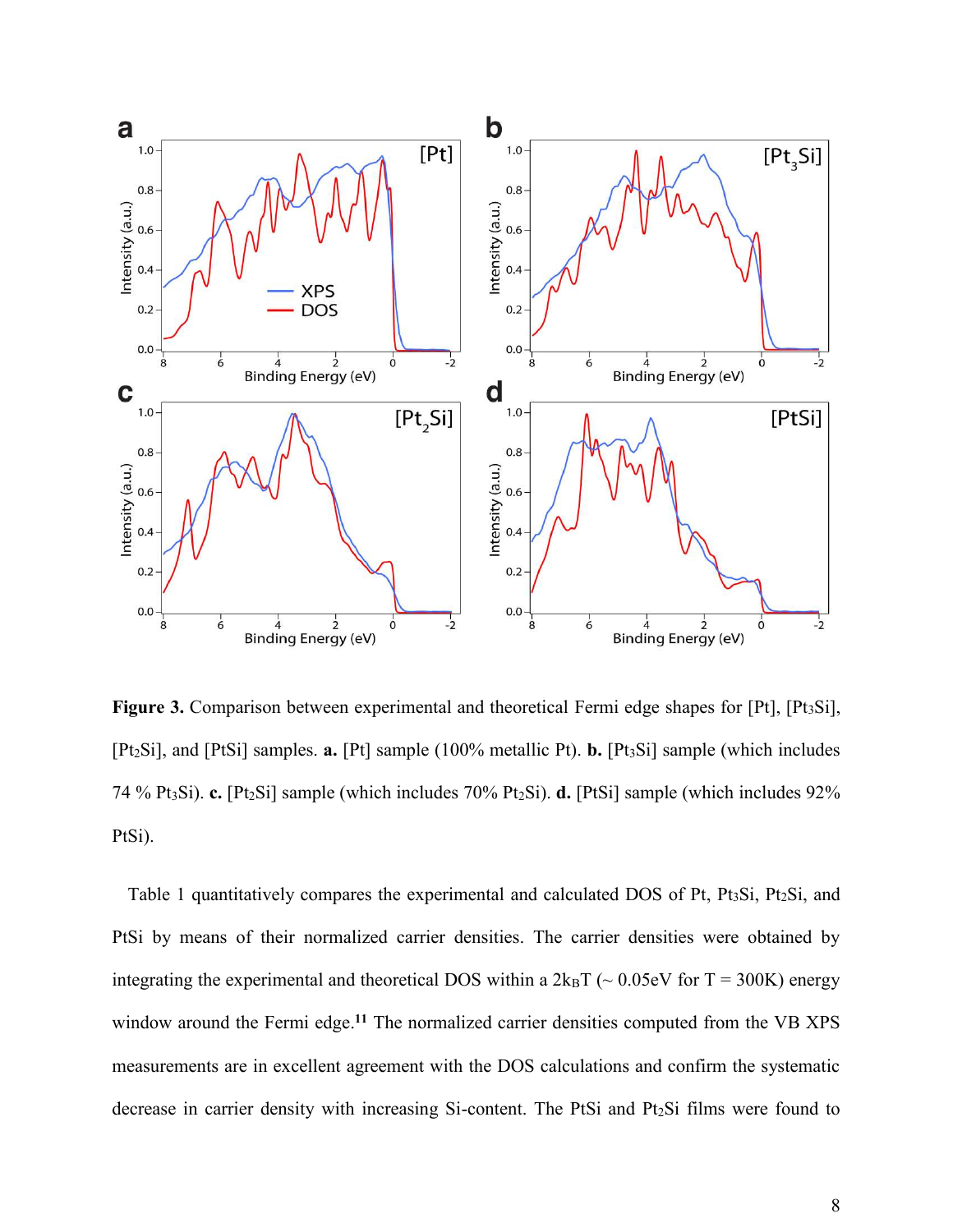

Figure 3. Comparison between experimental and theoretical Fermi edge shapes for [Pt], [Pt<sub>3</sub>Si], [Pt2Si], and [PtSi] samples. **a.** [Pt] sample (100% metallic Pt). **b.** [Pt3Si] sample (which includes 74 % Pt3Si). **c.** [Pt2Si] sample (which includes 70% Pt2Si). **d.** [PtSi] sample (which includes 92% PtSi).

Table 1 quantitatively compares the experimental and calculated DOS of Pt, Pt<sub>3</sub>Si, Pt<sub>2</sub>Si, and PtSi by means of their normalized carrier densities. The carrier densities were obtained by integrating the experimental and theoretical DOS within a  $2k_BT$  ( $\sim 0.05$ eV for T = 300K) energy window around the Fermi edge.<sup>11</sup> The normalized carrier densities computed from the VB XPS measurements are in excellent agreement with the DOS calculations and confirm the systematic decrease in carrier density with increasing Si-content. The PtSi and Pt2Si films were found to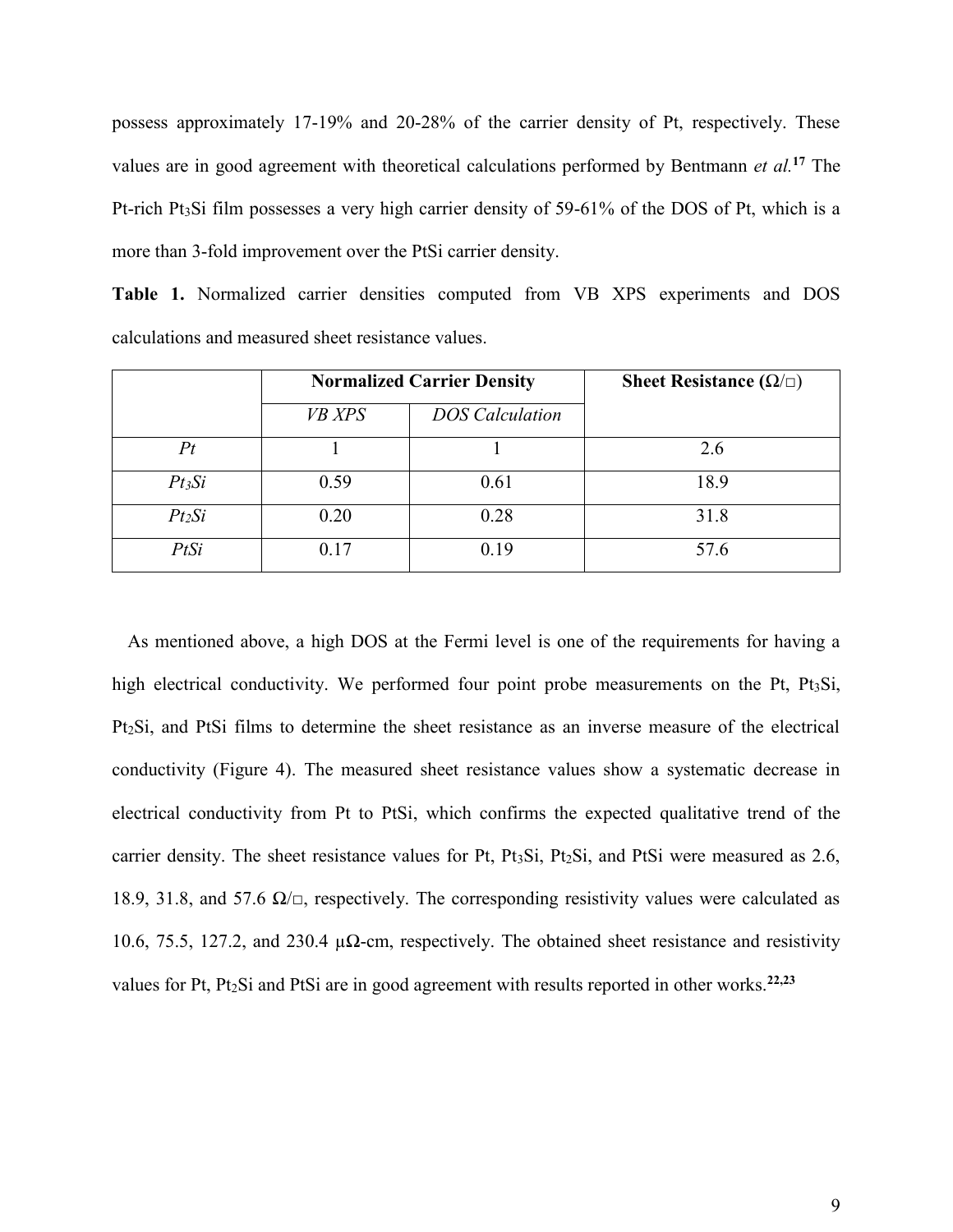possess approximately 17-19% and 20-28% of the carrier density of Pt, respectively. These values are in good agreement with theoretical calculations performed by Bentmann *et al.***<sup>17</sup>** The Pt-rich Pt<sub>3</sub>Si film possesses a very high carrier density of 59-61% of the DOS of Pt, which is a more than 3-fold improvement over the PtSi carrier density.

**Table 1.** Normalized carrier densities computed from VB XPS experiments and DOS calculations and measured sheet resistance values.

|          | <b>Normalized Carrier Density</b> |                        | Sheet Resistance ( $\Omega/\Box$ ) |
|----------|-----------------------------------|------------------------|------------------------------------|
|          | <b>VB XPS</b>                     | <b>DOS</b> Calculation |                                    |
| Pt       |                                   |                        | 2.6                                |
| $Pt_3Si$ | 0.59                              | 0.61                   | 18.9                               |
| $Pt_2Si$ | 0.20                              | 0.28                   | 31.8                               |
| PtSi     | 0.17                              | 0.19                   | 57.6                               |

As mentioned above, a high DOS at the Fermi level is one of the requirements for having a high electrical conductivity. We performed four point probe measurements on the Pt, Pt<sub>3</sub>Si, Pt2Si, and PtSi films to determine the sheet resistance as an inverse measure of the electrical conductivity (Figure 4). The measured sheet resistance values show a systematic decrease in electrical conductivity from Pt to PtSi, which confirms the expected qualitative trend of the carrier density. The sheet resistance values for Pt, Pt3Si, Pt2Si, and PtSi were measured as 2.6, 18.9, 31.8, and 57.6  $\Omega/\square$ , respectively. The corresponding resistivity values were calculated as 10.6, 75.5, 127.2, and 230.4  $\mu\Omega$ -cm, respectively. The obtained sheet resistance and resistivity values for Pt, Pt2Si and PtSi are in good agreement with results reported in other works.**22,23**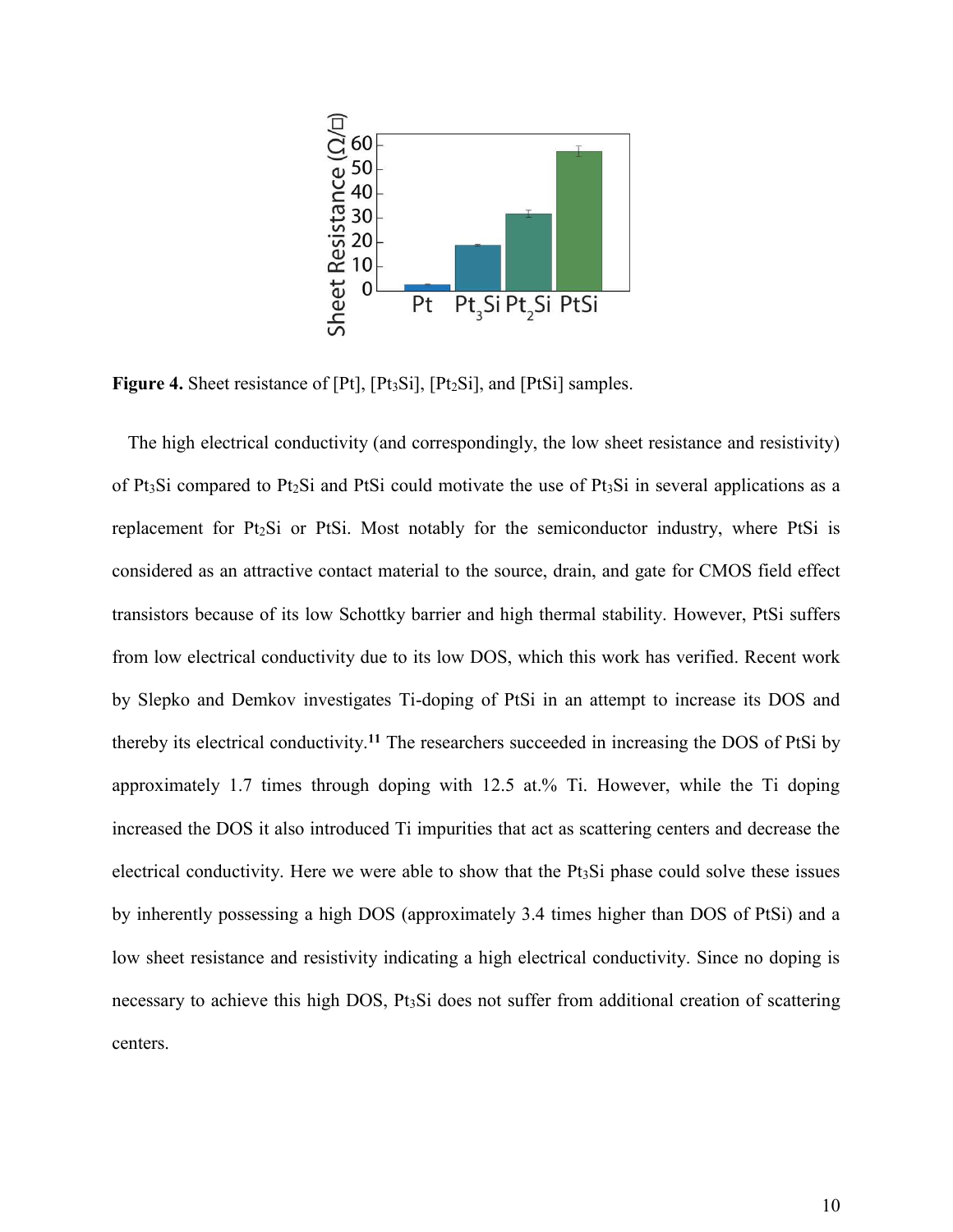

Figure 4. Sheet resistance of [Pt], [Pt<sub>3</sub>Si], [Pt<sub>2</sub>Si], and [PtSi] samples.

The high electrical conductivity (and correspondingly, the low sheet resistance and resistivity) of Pt<sub>3</sub>Si compared to Pt<sub>2</sub>Si and PtSi could motivate the use of Pt<sub>3</sub>Si in several applications as a replacement for Pt2Si or PtSi. Most notably for the semiconductor industry, where PtSi is considered as an attractive contact material to the source, drain, and gate for CMOS field effect transistors because of its low Schottky barrier and high thermal stability. However, PtSi suffers from low electrical conductivity due to its low DOS, which this work has verified. Recent work by Slepko and Demkov investigates Ti-doping of PtSi in an attempt to increase its DOS and thereby its electrical conductivity.**<sup>11</sup>** The researchers succeeded in increasing the DOS of PtSi by approximately 1.7 times through doping with 12.5 at.% Ti. However, while the Ti doping increased the DOS it also introduced Ti impurities that act as scattering centers and decrease the electrical conductivity. Here we were able to show that the Pt3Si phase could solve these issues by inherently possessing a high DOS (approximately 3.4 times higher than DOS of PtSi) and a low sheet resistance and resistivity indicating a high electrical conductivity. Since no doping is necessary to achieve this high DOS, Pt<sub>3</sub>Si does not suffer from additional creation of scattering centers.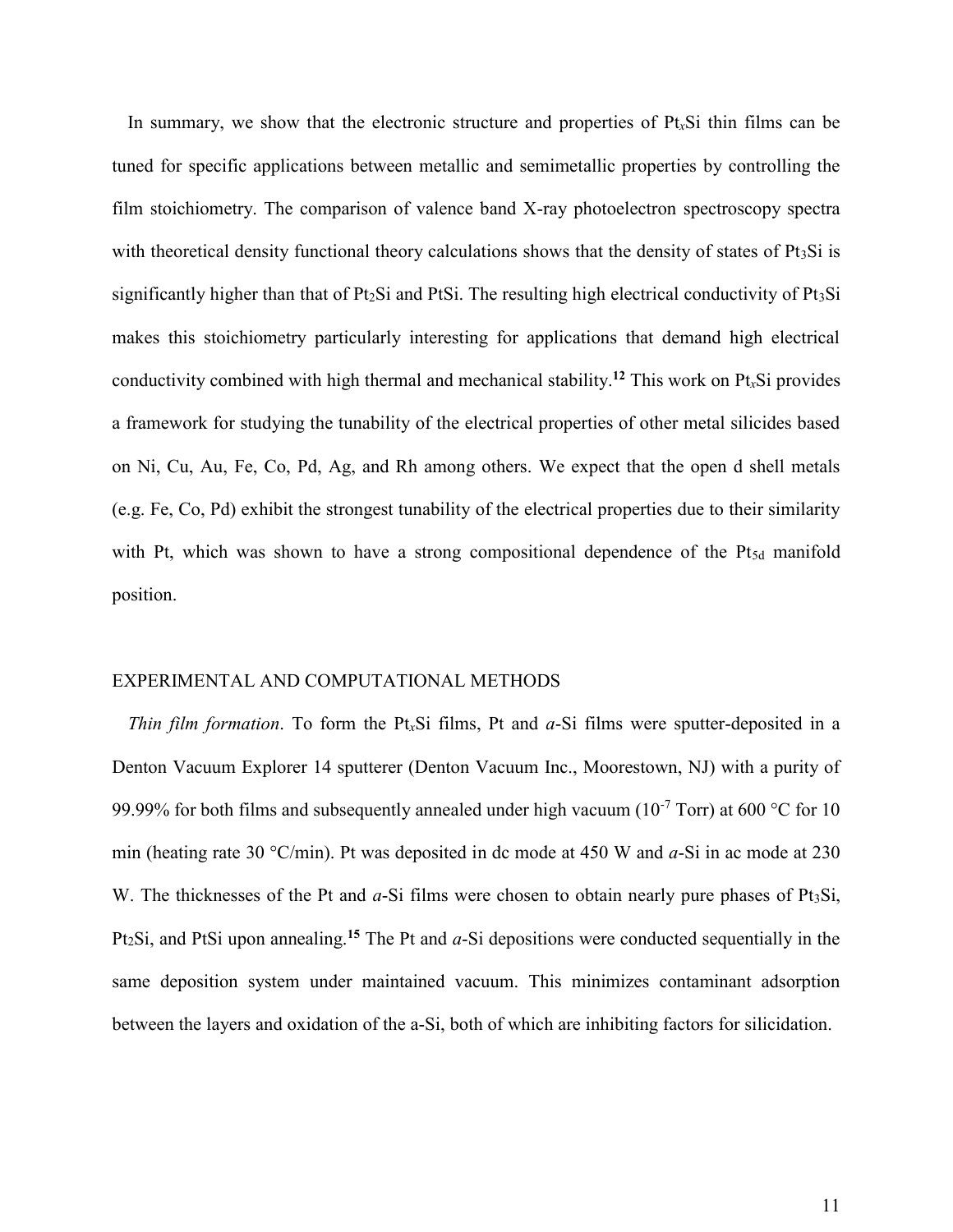In summary, we show that the electronic structure and properties of Pt*x*Si thin films can be tuned for specific applications between metallic and semimetallic properties by controlling the film stoichiometry. The comparison of valence band X-ray photoelectron spectroscopy spectra with theoretical density functional theory calculations shows that the density of states of Pt<sub>3</sub>Si is significantly higher than that of  $Pt_2Si$  and PtSi. The resulting high electrical conductivity of  $Pt_3Si$ makes this stoichiometry particularly interesting for applications that demand high electrical conductivity combined with high thermal and mechanical stability.**<sup>12</sup>** This work on Pt*x*Si provides a framework for studying the tunability of the electrical properties of other metal silicides based on Ni, Cu, Au, Fe, Co, Pd, Ag, and Rh among others. We expect that the open d shell metals (e.g. Fe, Co, Pd) exhibit the strongest tunability of the electrical properties due to their similarity with Pt, which was shown to have a strong compositional dependence of the Pt<sub>5d</sub> manifold position.

#### EXPERIMENTAL AND COMPUTATIONAL METHODS

*Thin film formation*. To form the Pt*x*Si films, Pt and *a*-Si films were sputter-deposited in a Denton Vacuum Explorer 14 sputterer (Denton Vacuum Inc., Moorestown, NJ) with a purity of 99.99% for both films and subsequently annealed under high vacuum ( $10^{-7}$  Torr) at 600 °C for 10 min (heating rate 30 °C/min). Pt was deposited in dc mode at 450 W and *a*-Si in ac mode at 230 W. The thicknesses of the Pt and *a*-Si films were chosen to obtain nearly pure phases of Pt<sub>3</sub>Si, Pt2Si, and PtSi upon annealing.**<sup>15</sup>** The Pt and *a*-Si depositions were conducted sequentially in the same deposition system under maintained vacuum. This minimizes contaminant adsorption between the layers and oxidation of the a-Si, both of which are inhibiting factors for silicidation.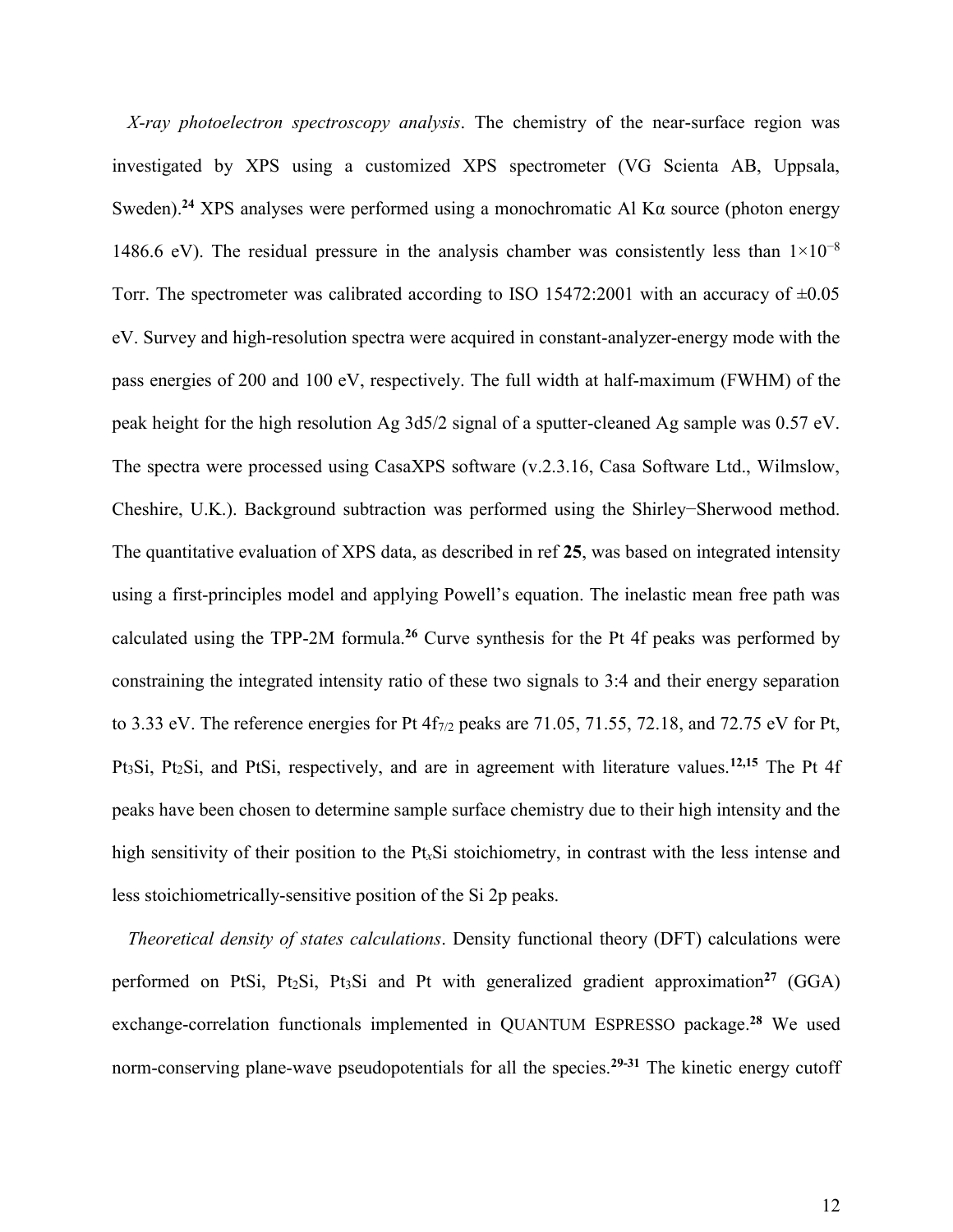*X-ray photoelectron spectroscopy analysis*. The chemistry of the near-surface region was investigated by XPS using a customized XPS spectrometer (VG Scienta AB, Uppsala, Sweden).<sup>24</sup> XPS analyses were performed using a monochromatic Al K $\alpha$  source (photon energy 1486.6 eV). The residual pressure in the analysis chamber was consistently less than  $1\times10^{-8}$ Torr. The spectrometer was calibrated according to ISO 15472:2001 with an accuracy of  $\pm 0.05$ eV. Survey and high-resolution spectra were acquired in constant-analyzer-energy mode with the pass energies of 200 and 100 eV, respectively. The full width at half-maximum (FWHM) of the peak height for the high resolution Ag 3d5/2 signal of a sputter-cleaned Ag sample was 0.57 eV. The spectra were processed using CasaXPS software (v.2.3.16, Casa Software Ltd., Wilmslow, Cheshire, U.K.). Background subtraction was performed using the Shirley−Sherwood method. The quantitative evaluation of XPS data, as described in ref **25**, was based on integrated intensity using a first-principles model and applying Powell's equation. The inelastic mean free path was calculated using the TPP-2M formula.**<sup>26</sup>** Curve synthesis for the Pt 4f peaks was performed by constraining the integrated intensity ratio of these two signals to 3:4 and their energy separation to 3.33 eV. The reference energies for Pt  $4f_{7/2}$  peaks are 71.05, 71.55, 72.18, and 72.75 eV for Pt, Pt3Si, Pt2Si, and PtSi, respectively, and are in agreement with literature values.**12,15** The Pt 4f peaks have been chosen to determine sample surface chemistry due to their high intensity and the high sensitivity of their position to the Pt*x*Si stoichiometry, in contrast with the less intense and less stoichiometrically-sensitive position of the Si 2p peaks.

*Theoretical density of states calculations*. Density functional theory (DFT) calculations were performed on PtSi, Pt2Si, Pt3Si and Pt with generalized gradient approximation**<sup>27</sup>** (GGA) exchange-correlation functionals implemented in QUANTUM ESPRESSO package.**<sup>28</sup>** We used norm-conserving plane-wave pseudopotentials for all the species.**29-31** The kinetic energy cutoff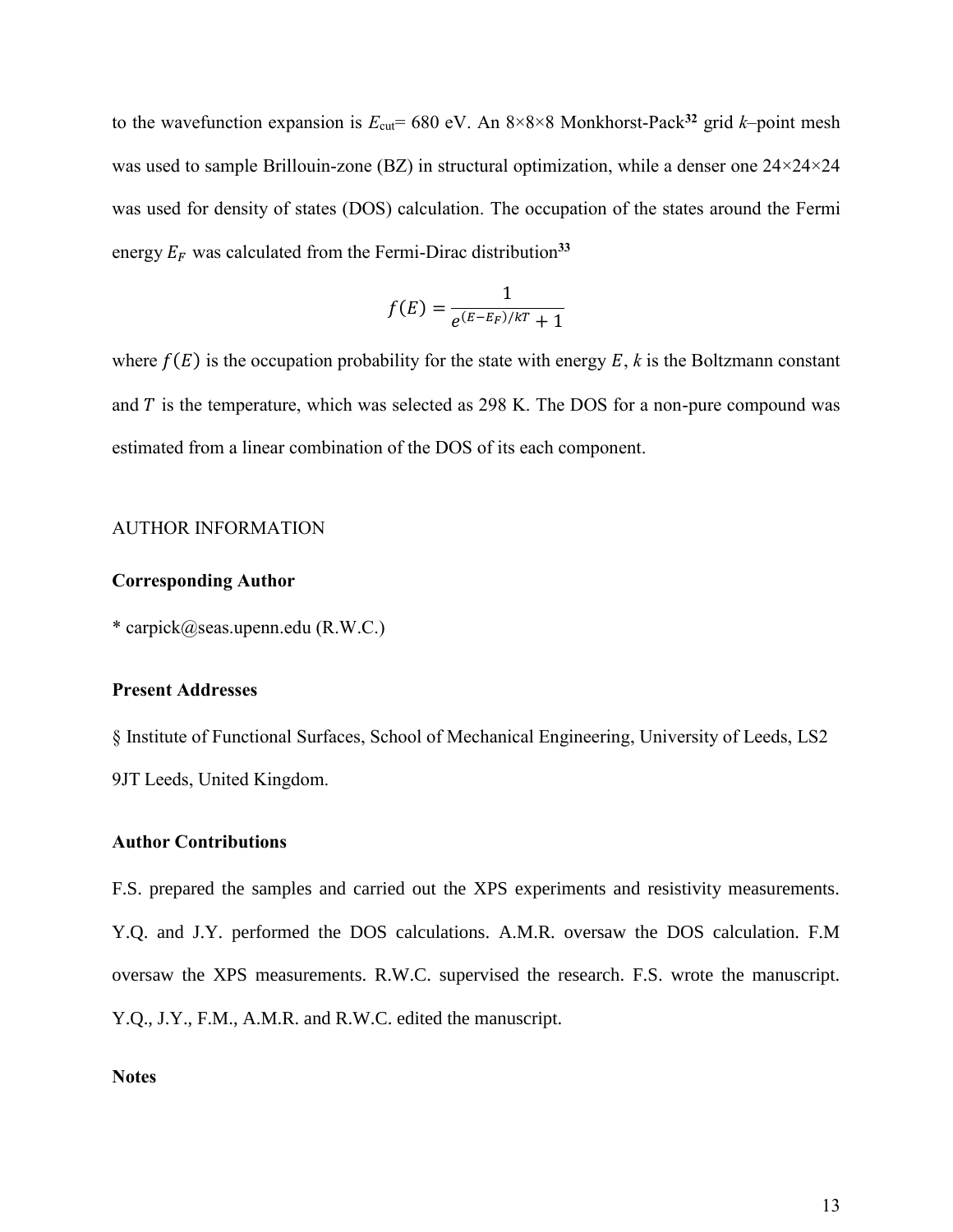to the wavefunction expansion is  $E_{\text{cut}}$ = 680 eV. An 8×8×8 Monkhorst-Pack<sup>32</sup> grid *k*–point mesh was used to sample Brillouin-zone (BZ) in structural optimization, while a denser one 24×24×24 was used for density of states (DOS) calculation. The occupation of the states around the Fermi energy  $E_F$  was calculated from the Fermi-Dirac distribution<sup>33</sup>

$$
f(E) = \frac{1}{e^{(E-E_F)/kT} + 1}
$$

where  $f(E)$  is the occupation probability for the state with energy  $E$ ,  $k$  is the Boltzmann constant and  $T$  is the temperature, which was selected as 298 K. The DOS for a non-pure compound was estimated from a linear combination of the DOS of its each component.

#### AUTHOR INFORMATION

#### **Corresponding Author**

\* carpick@seas.upenn.edu (R.W.C.)

#### **Present Addresses**

§ Institute of Functional Surfaces, School of Mechanical Engineering, University of Leeds, LS2 9JT Leeds, United Kingdom.

#### **Author Contributions**

F.S. prepared the samples and carried out the XPS experiments and resistivity measurements. Y.Q. and J.Y. performed the DOS calculations. A.M.R. oversaw the DOS calculation. F.M oversaw the XPS measurements. R.W.C. supervised the research. F.S. wrote the manuscript. Y.Q., J.Y., F.M., A.M.R. and R.W.C. edited the manuscript.

#### **Notes**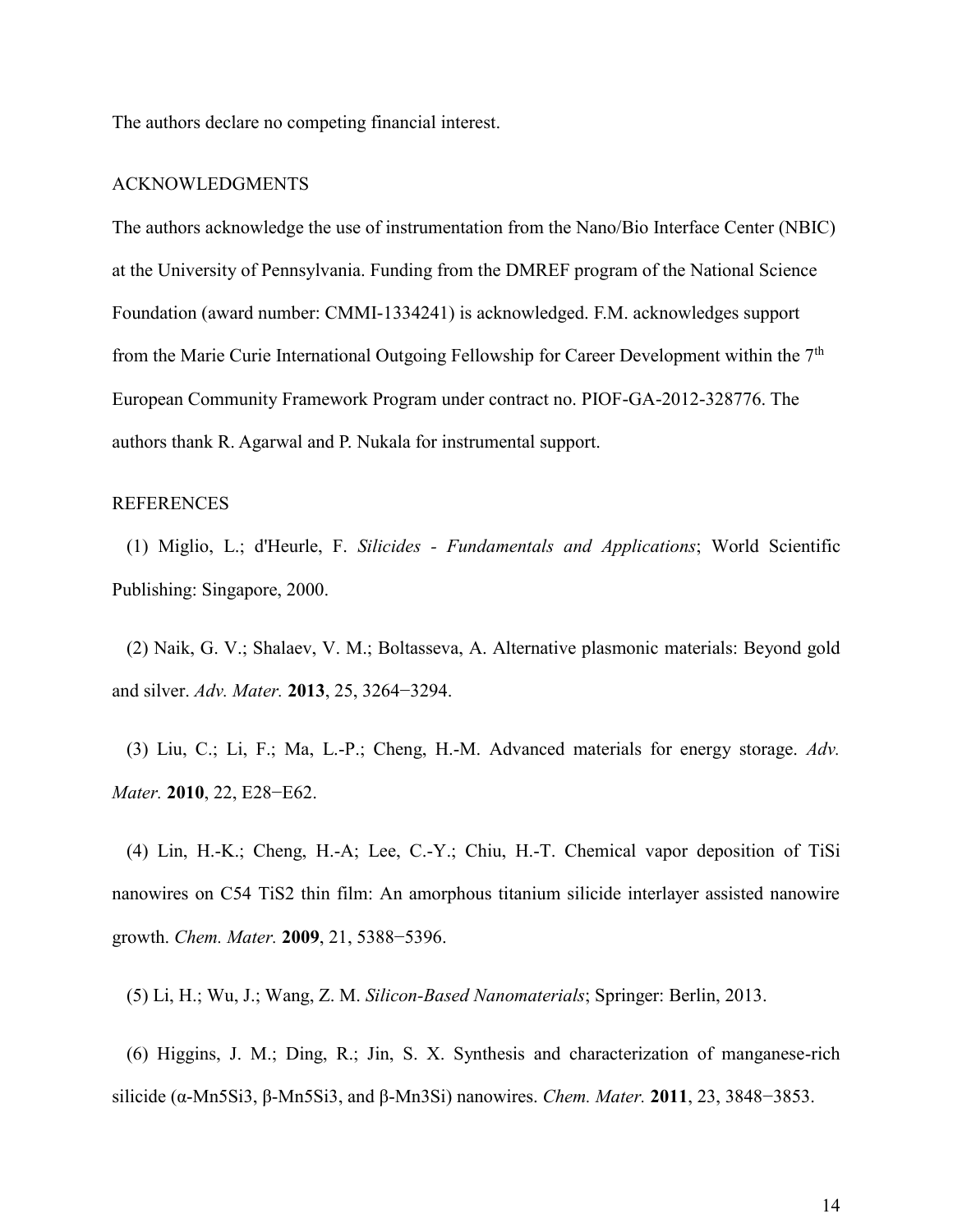The authors declare no competing financial interest.

#### ACKNOWLEDGMENTS

The authors acknowledge the use of instrumentation from the Nano/Bio Interface Center (NBIC) at the University of Pennsylvania. Funding from the DMREF program of the National Science Foundation (award number: CMMI-1334241) is acknowledged. F.M. acknowledges support from the Marie Curie International Outgoing Fellowship for Career Development within the  $7<sup>th</sup>$ European Community Framework Program under contract no. PIOF-GA-2012-328776. The authors thank R. Agarwal and P. Nukala for instrumental support.

#### REFERENCES

(1) Miglio, L.; d'Heurle, F. *Silicides - Fundamentals and Applications*; World Scientific Publishing: Singapore, 2000.

(2) Naik, G. V.; Shalaev, V. M.; Boltasseva, A. Alternative plasmonic materials: Beyond gold and silver. *Adv. Mater.* **2013**, 25, 3264−3294.

(3) Liu, C.; Li, F.; Ma, L.-P.; Cheng, H.-M. Advanced materials for energy storage. *Adv. Mater.* **2010**, 22, E28−E62.

(4) Lin, H.-K.; Cheng, H.-A; Lee, C.-Y.; Chiu, H.-T. Chemical vapor deposition of TiSi nanowires on C54 TiS2 thin film: An amorphous titanium silicide interlayer assisted nanowire growth. *Chem. Mater.* **2009**, 21, 5388−5396.

(5) Li, H.; Wu, J.; Wang, Z. M. *Silicon-Based Nanomaterials*; Springer: Berlin, 2013.

(6) Higgins, J. M.; Ding, R.; Jin, S. X. Synthesis and characterization of manganese-rich silicide ( $\alpha$ -Mn5Si3,  $\beta$ -Mn5Si3, and  $\beta$ -Mn3Si) nanowires. *Chem. Mater.* **2011**, 23, 3848–3853.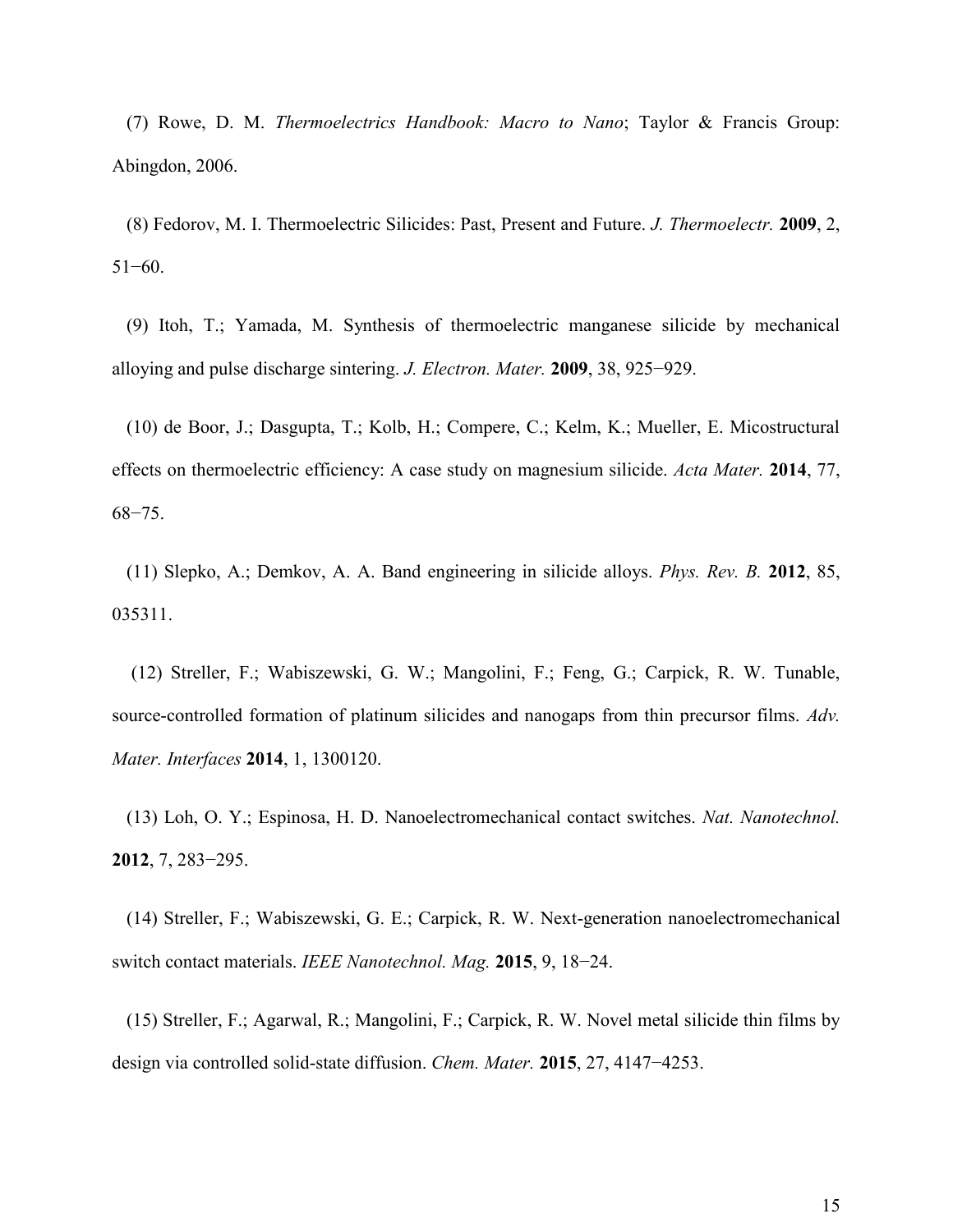(7) Rowe, D. M. *Thermoelectrics Handbook: Macro to Nano*; Taylor & Francis Group: Abingdon, 2006.

(8) Fedorov, M. I. Thermoelectric Silicides: Past, Present and Future. *J. Thermoelectr.* **2009**, 2, 51−60.

(9) Itoh, T.; Yamada, M. Synthesis of thermoelectric manganese silicide by mechanical alloying and pulse discharge sintering. *J. Electron. Mater.* **2009**, 38, 925−929.

(10) de Boor, J.; Dasgupta, T.; Kolb, H.; Compere, C.; Kelm, K.; Mueller, E. Micostructural effects on thermoelectric efficiency: A case study on magnesium silicide. *Acta Mater.* **2014**, 77, 68−75.

(11) Slepko, A.; Demkov, A. A. Band engineering in silicide alloys. *Phys. Rev. B.* **2012**, 85, 035311.

 (12) Streller, F.; Wabiszewski, G. W.; Mangolini, F.; Feng, G.; Carpick, R. W. Tunable, source-controlled formation of platinum silicides and nanogaps from thin precursor films. *Adv. Mater. Interfaces* **2014**, 1, 1300120.

(13) Loh, O. Y.; Espinosa, H. D. Nanoelectromechanical contact switches. *Nat. Nanotechnol.* **2012**, 7, 283−295.

(14) Streller, F.; Wabiszewski, G. E.; Carpick, R. W. Next-generation nanoelectromechanical switch contact materials. *IEEE Nanotechnol. Mag.* **2015**, 9, 18−24.

(15) Streller, F.; Agarwal, R.; Mangolini, F.; Carpick, R. W. Novel metal silicide thin films by design via controlled solid-state diffusion. *Chem. Mater.* **2015**, 27, 4147−4253.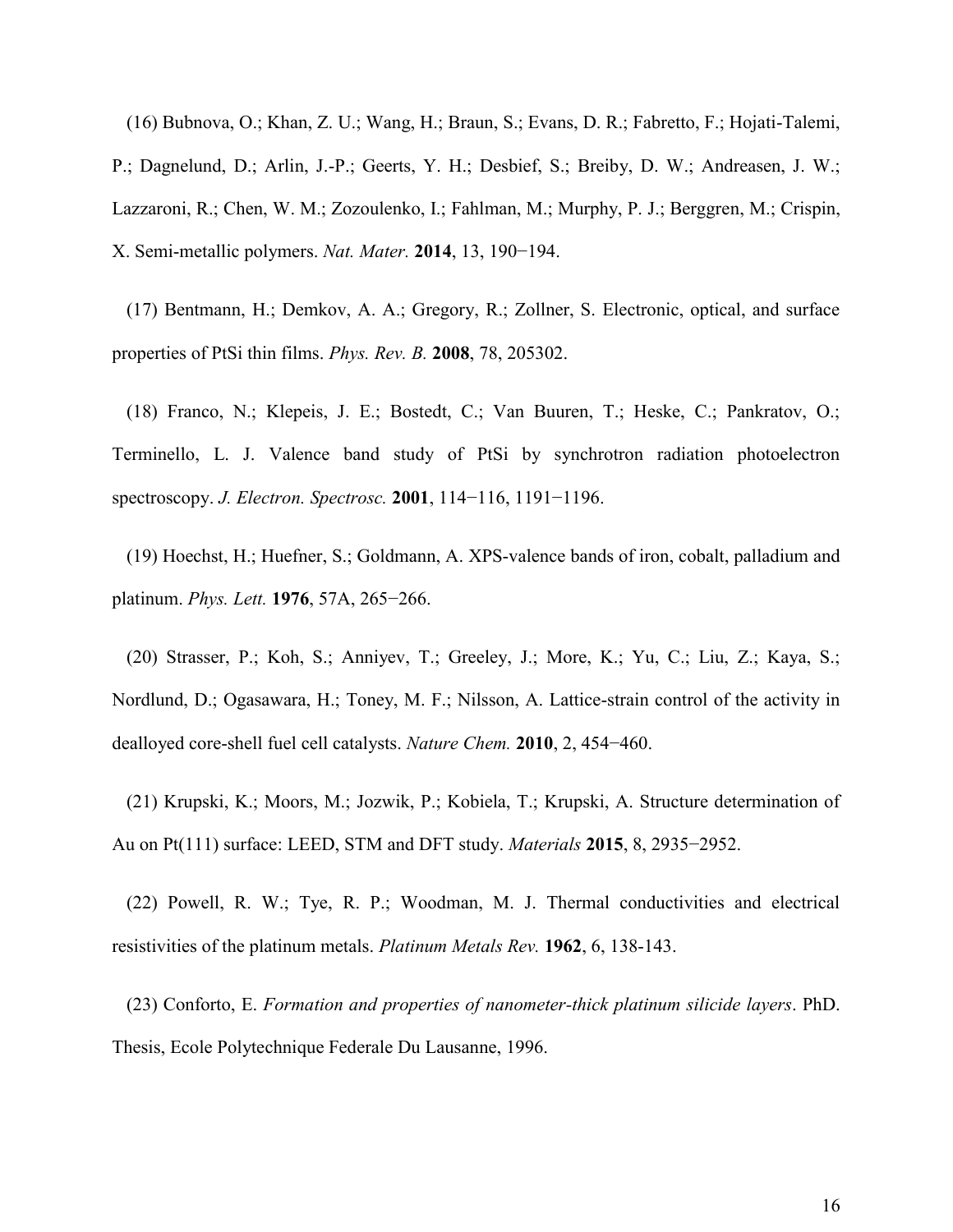(16) Bubnova, O.; Khan, Z. U.; Wang, H.; Braun, S.; Evans, D. R.; Fabretto, F.; Hojati-Talemi, P.; Dagnelund, D.; Arlin, J.-P.; Geerts, Y. H.; Desbief, S.; Breiby, D. W.; Andreasen, J. W.; Lazzaroni, R.; Chen, W. M.; Zozoulenko, I.; Fahlman, M.; Murphy, P. J.; Berggren, M.; Crispin, X. Semi-metallic polymers. *Nat. Mater.* **2014**, 13, 190−194.

(17) Bentmann, H.; Demkov, A. A.; Gregory, R.; Zollner, S. Electronic, optical, and surface properties of PtSi thin films. *Phys. Rev. B.* **2008**, 78, 205302.

(18) Franco, N.; Klepeis, J. E.; Bostedt, C.; Van Buuren, T.; Heske, C.; Pankratov, O.; Terminello, L. J. Valence band study of PtSi by synchrotron radiation photoelectron spectroscopy. *J. Electron. Spectrosc.* **2001**, 114−116, 1191−1196.

(19) Hoechst, H.; Huefner, S.; Goldmann, A. XPS-valence bands of iron, cobalt, palladium and platinum. *Phys. Lett.* **1976**, 57A, 265−266.

(20) Strasser, P.; Koh, S.; Anniyev, T.; Greeley, J.; More, K.; Yu, C.; Liu, Z.; Kaya, S.; Nordlund, D.; Ogasawara, H.; Toney, M. F.; Nilsson, A. Lattice-strain control of the activity in dealloyed core-shell fuel cell catalysts. *Nature Chem.* **2010**, 2, 454−460.

(21) Krupski, K.; Moors, M.; Jozwik, P.; Kobiela, T.; Krupski, A. Structure determination of Au on Pt(111) surface: LEED, STM and DFT study. *Materials* **2015**, 8, 2935−2952.

(22) Powell, R. W.; Tye, R. P.; Woodman, M. J. Thermal conductivities and electrical resistivities of the platinum metals. *Platinum Metals Rev.* **1962**, 6, 138-143.

(23) Conforto, E. *Formation and properties of nanometer-thick platinum silicide layers*. PhD. Thesis, Ecole Polytechnique Federale Du Lausanne, 1996.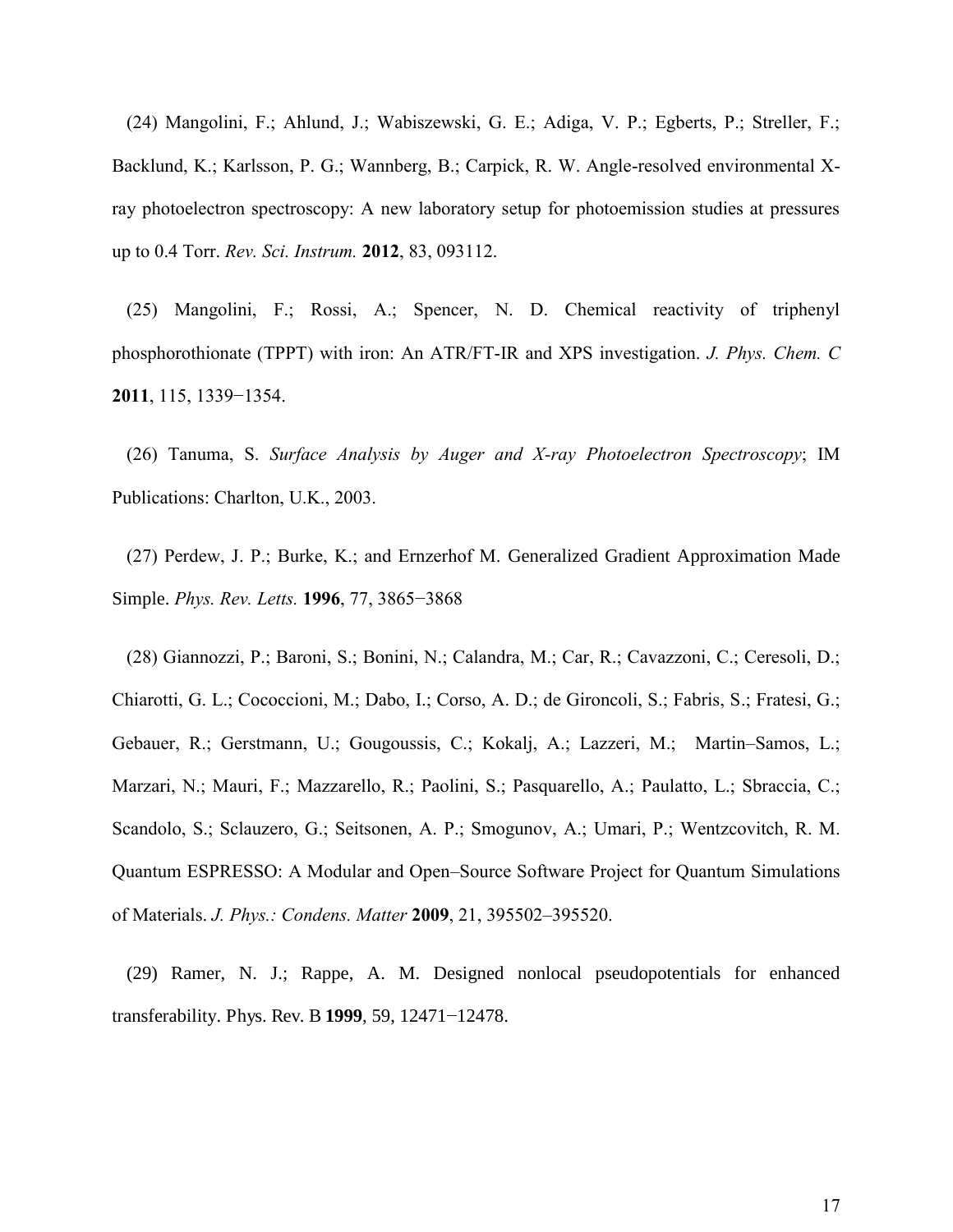(24) Mangolini, F.; Ahlund, J.; Wabiszewski, G. E.; Adiga, V. P.; Egberts, P.; Streller, F.; Backlund, K.; Karlsson, P. G.; Wannberg, B.; Carpick, R. W. Angle-resolved environmental Xray photoelectron spectroscopy: A new laboratory setup for photoemission studies at pressures up to 0.4 Torr. *Rev. Sci. Instrum.* **2012**, 83, 093112.

(25) Mangolini, F.; Rossi, A.; Spencer, N. D. Chemical reactivity of triphenyl phosphorothionate (TPPT) with iron: An ATR/FT-IR and XPS investigation. *J. Phys. Chem. C* **2011**, 115, 1339−1354.

(26) Tanuma, S. *Surface Analysis by Auger and X-ray Photoelectron Spectroscopy*; IM Publications: Charlton, U.K., 2003.

(27) Perdew, J. P.; Burke, K.; and Ernzerhof M. Generalized Gradient Approximation Made Simple. *Phys. Rev. Letts.* **1996**, 77, 3865−3868

(28) Giannozzi, P.; Baroni, S.; Bonini, N.; Calandra, M.; Car, R.; Cavazzoni, C.; Ceresoli, D.; Chiarotti, G. L.; Cococcioni, M.; Dabo, I.; Corso, A. D.; de Gironcoli, S.; Fabris, S.; Fratesi, G.; Gebauer, R.; Gerstmann, U.; Gougoussis, C.; Kokalj, A.; Lazzeri, M.; Martin–Samos, L.; Marzari, N.; Mauri, F.; Mazzarello, R.; Paolini, S.; Pasquarello, A.; Paulatto, L.; Sbraccia, C.; Scandolo, S.; Sclauzero, G.; Seitsonen, A. P.; Smogunov, A.; Umari, P.; Wentzcovitch, R. M. Quantum ESPRESSO: A Modular and Open–Source Software Project for Quantum Simulations of Materials. *J. Phys.: Condens. Matter* **2009**, 21, 395502–395520.

(29) Ramer, N. J.; Rappe, A. M. Designed nonlocal pseudopotentials for enhanced transferability. Phys. Rev. B **1999**, 59, 12471−12478.